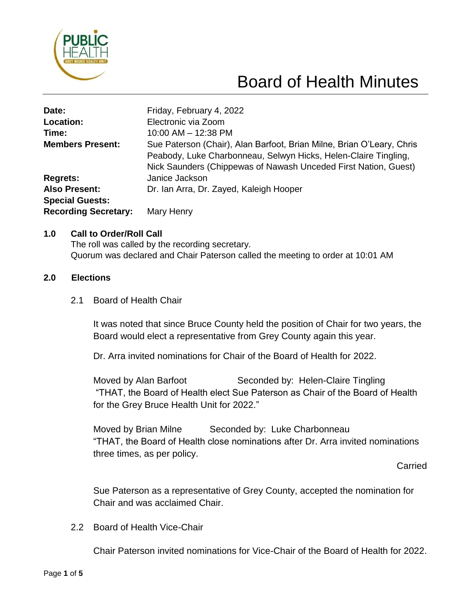

# Board of Health Minutes

| Date:                       | Friday, February 4, 2022                                                                                                                                                                                    |
|-----------------------------|-------------------------------------------------------------------------------------------------------------------------------------------------------------------------------------------------------------|
| Location:                   | Electronic via Zoom                                                                                                                                                                                         |
| Time:                       | 10:00 AM - 12:38 PM                                                                                                                                                                                         |
| <b>Members Present:</b>     | Sue Paterson (Chair), Alan Barfoot, Brian Milne, Brian O'Leary, Chris<br>Peabody, Luke Charbonneau, Selwyn Hicks, Helen-Claire Tingling,<br>Nick Saunders (Chippewas of Nawash Unceded First Nation, Guest) |
| <b>Regrets:</b>             | Janice Jackson                                                                                                                                                                                              |
| <b>Also Present:</b>        | Dr. Ian Arra, Dr. Zayed, Kaleigh Hooper                                                                                                                                                                     |
| <b>Special Guests:</b>      |                                                                                                                                                                                                             |
| <b>Recording Secretary:</b> | Mary Henry                                                                                                                                                                                                  |

#### **1.0 Call to Order/Roll Call**

The roll was called by the recording secretary. Quorum was declared and Chair Paterson called the meeting to order at 10:01 AM

#### **2.0 Elections**

2.1 Board of Health Chair

It was noted that since Bruce County held the position of Chair for two years, the Board would elect a representative from Grey County again this year.

Dr. Arra invited nominations for Chair of the Board of Health for 2022.

Moved by Alan Barfoot Seconded by: Helen-Claire Tingling "THAT, the Board of Health elect Sue Paterson as Chair of the Board of Health for the Grey Bruce Health Unit for 2022."

Moved by Brian Milne Seconded by: Luke Charbonneau "THAT, the Board of Health close nominations after Dr. Arra invited nominations three times, as per policy.

**Carried** 

Sue Paterson as a representative of Grey County, accepted the nomination for Chair and was acclaimed Chair.

2.2 Board of Health Vice-Chair

Chair Paterson invited nominations for Vice-Chair of the Board of Health for 2022.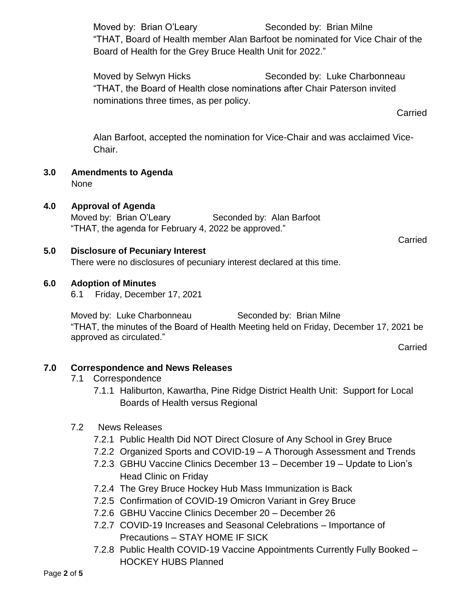Moved by: Brian O'Leary Seconded by: Brian Milne "THAT, Board of Health member Alan Barfoot be nominated for Vice Chair of the Board of Health for the Grey Bruce Health Unit for 2022."

Moved by Selwyn Hicks Seconded by: Luke Charbonneau "THAT, the Board of Health close nominations after Chair Paterson invited nominations three times, as per policy.

**Carried** 

Alan Barfoot, accepted the nomination for Vice-Chair and was acclaimed Vice-Chair.

**3.0 Amendments to Agenda** None

# **4.0 Approval of Agenda**

Moved by: Brian O'Leary Seconded by: Alan Barfoot "THAT, the agenda for February 4, 2022 be approved."

**Carried** 

## **5.0 Disclosure of Pecuniary Interest**

There were no disclosures of pecuniary interest declared at this time.

## **6.0 Adoption of Minutes**

6.1 Friday, December 17, 2021

Moved by: Luke Charbonneau Seconded by: Brian Milne "THAT, the minutes of the Board of Health Meeting held on Friday, December 17, 2021 be approved as circulated."

**Carried** 

# **7.0 Correspondence and News Releases**

- 7.1 Correspondence
	- 7.1.1 Haliburton, Kawartha, Pine Ridge District Health Unit: Support for Local Boards of Health versus Regional

#### 7.2 News Releases

- 7.2.1 Public Health Did NOT Direct Closure of Any School in Grey Bruce
- 7.2.2 Organized Sports and COVID-19 A Thorough Assessment and Trends
- 7.2.3 GBHU Vaccine Clinics December 13 December 19 Update to Lion's Head Clinic on Friday
- 7.2.4 The Grey Bruce Hockey Hub Mass Immunization is Back
- 7.2.5 Confirmation of COVID-19 Omicron Variant in Grey Bruce
- 7.2.6 GBHU Vaccine Clinics December 20 December 26
- 7.2.7 COVID-19 Increases and Seasonal Celebrations Importance of Precautions – STAY HOME IF SICK
- 7.2.8 Public Health COVID-19 Vaccine Appointments Currently Fully Booked HOCKEY HUBS Planned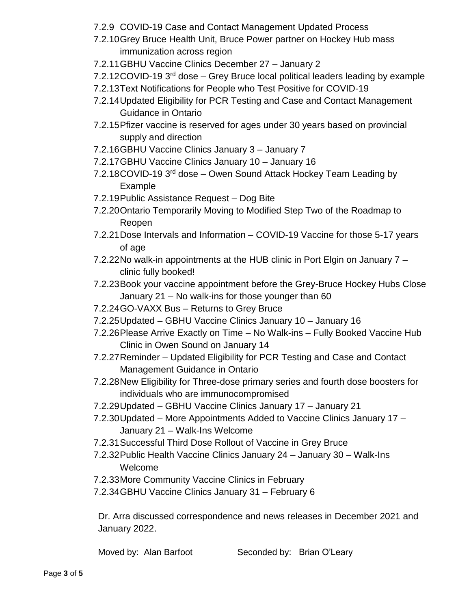- 7.2.9 COVID-19 Case and Contact Management Updated Process
- 7.2.10Grey Bruce Health Unit, Bruce Power partner on Hockey Hub mass immunization across region
- 7.2.11GBHU Vaccine Clinics December 27 January 2
- 7.2.12COVID-19 3<sup>rd</sup> dose Grey Bruce local political leaders leading by example
- 7.2.13Text Notifications for People who Test Positive for COVID-19
- 7.2.14Updated Eligibility for PCR Testing and Case and Contact Management Guidance in Ontario
- 7.2.15Pfizer vaccine is reserved for ages under 30 years based on provincial supply and direction
- 7.2.16GBHU Vaccine Clinics January 3 January 7
- 7.2.17GBHU Vaccine Clinics January 10 January 16
- 7.2.18COVID-19 3<sup>rd</sup> dose Owen Sound Attack Hockey Team Leading by Example
- 7.2.19Public Assistance Request Dog Bite
- 7.2.20Ontario Temporarily Moving to Modified Step Two of the Roadmap to Reopen
- 7.2.21Dose Intervals and Information COVID-19 Vaccine for those 5-17 years of age
- 7.2.22No walk-in appointments at the HUB clinic in Port Elgin on January 7 clinic fully booked!
- 7.2.23Book your vaccine appointment before the Grey-Bruce Hockey Hubs Close January 21 – No walk-ins for those younger than 60
- 7.2.24GO-VAXX Bus Returns to Grey Bruce
- 7.2.25Updated GBHU Vaccine Clinics January 10 January 16
- 7.2.26Please Arrive Exactly on Time No Walk-ins Fully Booked Vaccine Hub Clinic in Owen Sound on January 14
- 7.2.27Reminder Updated Eligibility for PCR Testing and Case and Contact Management Guidance in Ontario
- 7.2.28New Eligibility for Three-dose primary series and fourth dose boosters for individuals who are immunocompromised
- 7.2.29Updated GBHU Vaccine Clinics January 17 January 21
- 7.2.30Updated More Appointments Added to Vaccine Clinics January 17 January 21 – Walk-Ins Welcome
- 7.2.31Successful Third Dose Rollout of Vaccine in Grey Bruce
- 7.2.32Public Health Vaccine Clinics January 24 January 30 Walk-Ins Welcome
- 7.2.33More Community Vaccine Clinics in February
- 7.2.34GBHU Vaccine Clinics January 31 February 6

Dr. Arra discussed correspondence and news releases in December 2021 and January 2022.

Moved by: Alan Barfoot Seconded by: Brian O'Leary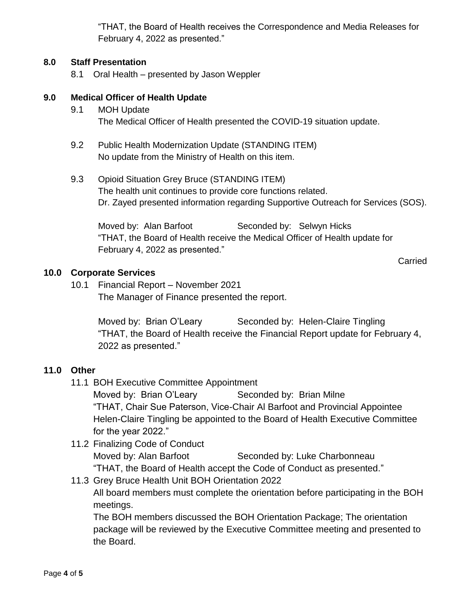"THAT, the Board of Health receives the Correspondence and Media Releases for February 4, 2022 as presented."

#### **8.0 Staff Presentation**

8.1 Oral Health – presented by Jason Weppler

#### **9.0 Medical Officer of Health Update**

- 9.1 MOH Update The Medical Officer of Health presented the COVID-19 situation update.
- 9.2 Public Health Modernization Update (STANDING ITEM) No update from the Ministry of Health on this item.
- 9.3 Opioid Situation Grey Bruce (STANDING ITEM) The health unit continues to provide core functions related. Dr. Zayed presented information regarding Supportive Outreach for Services (SOS).

Moved by: Alan Barfoot Seconded by: Selwyn Hicks "THAT, the Board of Health receive the Medical Officer of Health update for February 4, 2022 as presented."

Carried

#### **10.0 Corporate Services**

10.1 Financial Report – November 2021 The Manager of Finance presented the report.

> Moved by: Brian O'Leary Seconded by: Helen-Claire Tingling "THAT, the Board of Health receive the Financial Report update for February 4, 2022 as presented."

#### **11.0 Other**

11.1 BOH Executive Committee Appointment

Moved by: Brian O'Leary Seconded by: Brian Milne "THAT, Chair Sue Paterson, Vice-Chair Al Barfoot and Provincial Appointee Helen-Claire Tingling be appointed to the Board of Health Executive Committee for the year 2022."

11.2 Finalizing Code of Conduct Moved by: Alan Barfoot Seconded by: Luke Charbonneau "THAT, the Board of Health accept the Code of Conduct as presented."

# 11.3 Grey Bruce Health Unit BOH Orientation 2022 All board members must complete the orientation before participating in the BOH meetings.

The BOH members discussed the BOH Orientation Package; The orientation package will be reviewed by the Executive Committee meeting and presented to the Board.